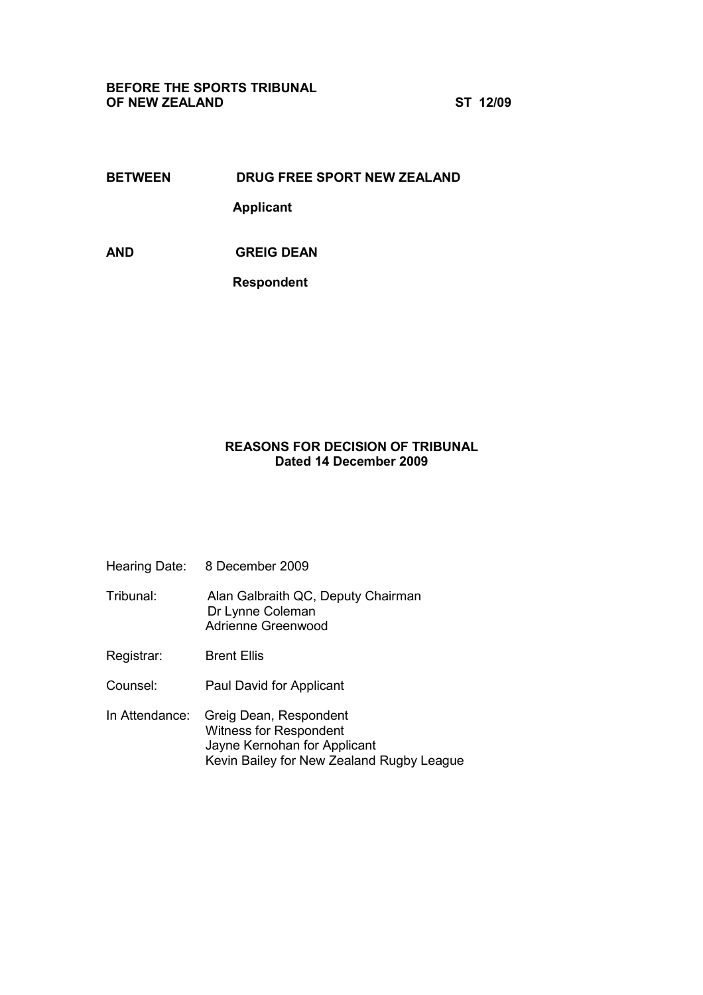## BEFORE THE SPORTS TRIBUNAL OF NEW ZEALAND ST 12/09

# BETWEEN DRUG FREE SPORT NEW ZEALAND

Applicant

AND GREIG DEAN

Respondent

# REASONS FOR DECISION OF TRIBUNAL Dated 14 December 2009

- Hearing Date: 8 December 2009
- Tribunal: Alan Galbraith QC, Deputy Chairman Dr Lynne Coleman Adrienne Greenwood
- Registrar: Brent Ellis
- Counsel: Paul David for Applicant
- In Attendance: Greig Dean, Respondent Witness for Respondent Jayne Kernohan for Applicant Kevin Bailey for New Zealand Rugby League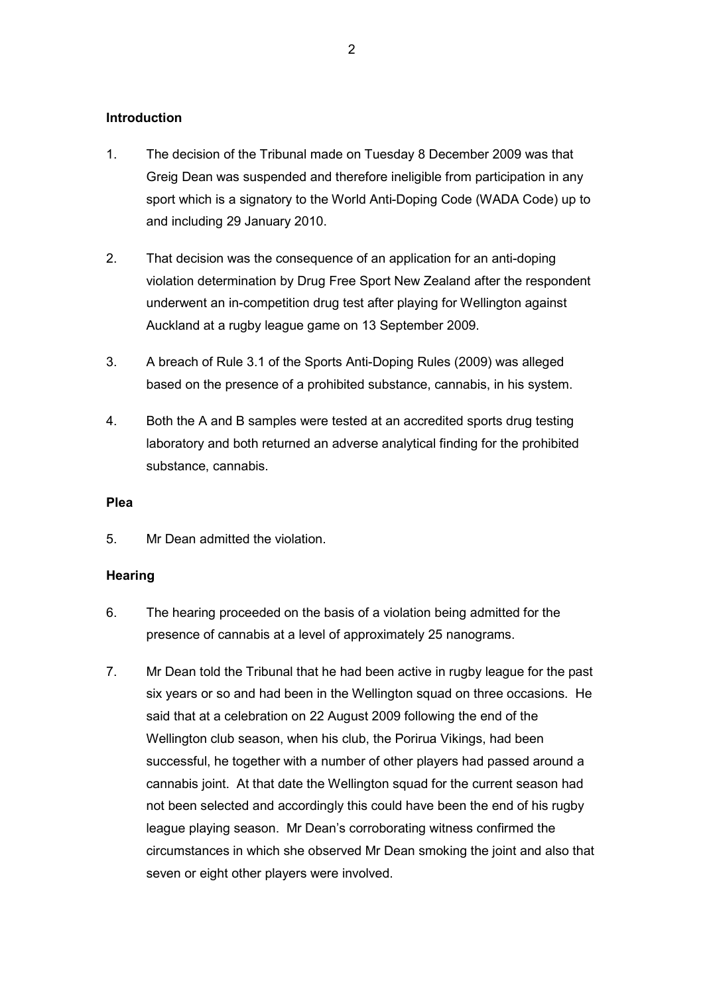### **Introduction**

- 1. The decision of the Tribunal made on Tuesday 8 December 2009 was that Greig Dean was suspended and therefore ineligible from participation in any sport which is a signatory to the World Anti-Doping Code (WADA Code) up to and including 29 January 2010.
- 2. That decision was the consequence of an application for an anti-doping violation determination by Drug Free Sport New Zealand after the respondent underwent an in-competition drug test after playing for Wellington against Auckland at a rugby league game on 13 September 2009.
- 3. A breach of Rule 3.1 of the Sports Anti-Doping Rules (2009) was alleged based on the presence of a prohibited substance, cannabis, in his system.
- 4. Both the A and B samples were tested at an accredited sports drug testing laboratory and both returned an adverse analytical finding for the prohibited substance, cannabis.

#### **Plea**

5. Mr Dean admitted the violation.

#### **Hearing**

- 6. The hearing proceeded on the basis of a violation being admitted for the presence of cannabis at a level of approximately 25 nanograms.
- 7. Mr Dean told the Tribunal that he had been active in rugby league for the past six years or so and had been in the Wellington squad on three occasions. He said that at a celebration on 22 August 2009 following the end of the Wellington club season, when his club, the Porirua Vikings, had been successful, he together with a number of other players had passed around a cannabis joint. At that date the Wellington squad for the current season had not been selected and accordingly this could have been the end of his rugby league playing season. Mr Dean's corroborating witness confirmed the circumstances in which she observed Mr Dean smoking the joint and also that seven or eight other players were involved.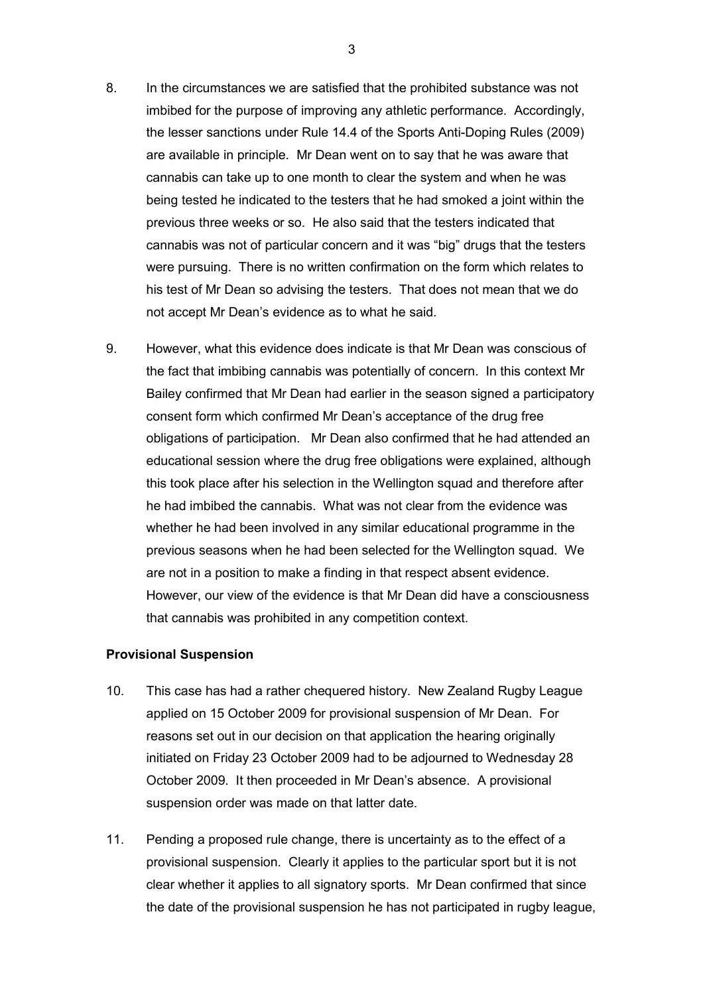- 8. In the circumstances we are satisfied that the prohibited substance was not imbibed for the purpose of improving any athletic performance. Accordingly, the lesser sanctions under Rule 14.4 of the Sports Anti-Doping Rules (2009) are available in principle. Mr Dean went on to say that he was aware that cannabis can take up to one month to clear the system and when he was being tested he indicated to the testers that he had smoked a joint within the previous three weeks or so. He also said that the testers indicated that cannabis was not of particular concern and it was "big" drugs that the testers were pursuing. There is no written confirmation on the form which relates to his test of Mr Dean so advising the testers. That does not mean that we do not accept Mr Dean's evidence as to what he said.
- 9. However, what this evidence does indicate is that Mr Dean was conscious of the fact that imbibing cannabis was potentially of concern. In this context Mr Bailey confirmed that Mr Dean had earlier in the season signed a participatory consent form which confirmed Mr Dean's acceptance of the drug free obligations of participation. Mr Dean also confirmed that he had attended an educational session where the drug free obligations were explained, although this took place after his selection in the Wellington squad and therefore after he had imbibed the cannabis. What was not clear from the evidence was whether he had been involved in any similar educational programme in the previous seasons when he had been selected for the Wellington squad. We are not in a position to make a finding in that respect absent evidence. However, our view of the evidence is that Mr Dean did have a consciousness that cannabis was prohibited in any competition context.

#### Provisional Suspension

- 10. This case has had a rather chequered history. New Zealand Rugby League applied on 15 October 2009 for provisional suspension of Mr Dean. For reasons set out in our decision on that application the hearing originally initiated on Friday 23 October 2009 had to be adjourned to Wednesday 28 October 2009. It then proceeded in Mr Dean's absence. A provisional suspension order was made on that latter date.
- 11. Pending a proposed rule change, there is uncertainty as to the effect of a provisional suspension. Clearly it applies to the particular sport but it is not clear whether it applies to all signatory sports. Mr Dean confirmed that since the date of the provisional suspension he has not participated in rugby league,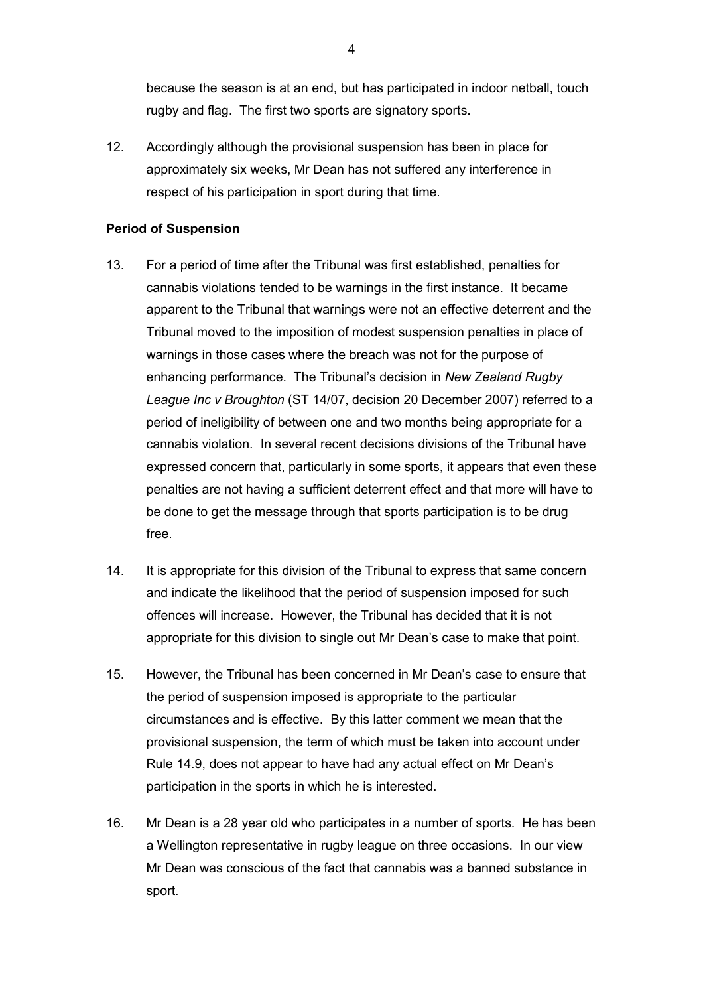because the season is at an end, but has participated in indoor netball, touch rugby and flag. The first two sports are signatory sports.

12. Accordingly although the provisional suspension has been in place for approximately six weeks, Mr Dean has not suffered any interference in respect of his participation in sport during that time.

# Period of Suspension

- 13. For a period of time after the Tribunal was first established, penalties for cannabis violations tended to be warnings in the first instance. It became apparent to the Tribunal that warnings were not an effective deterrent and the Tribunal moved to the imposition of modest suspension penalties in place of warnings in those cases where the breach was not for the purpose of enhancing performance. The Tribunal's decision in New Zealand Rugby League Inc v Broughton (ST 14/07, decision 20 December 2007) referred to a period of ineligibility of between one and two months being appropriate for a cannabis violation. In several recent decisions divisions of the Tribunal have expressed concern that, particularly in some sports, it appears that even these penalties are not having a sufficient deterrent effect and that more will have to be done to get the message through that sports participation is to be drug free.
- 14. It is appropriate for this division of the Tribunal to express that same concern and indicate the likelihood that the period of suspension imposed for such offences will increase. However, the Tribunal has decided that it is not appropriate for this division to single out Mr Dean's case to make that point.
- 15. However, the Tribunal has been concerned in Mr Dean's case to ensure that the period of suspension imposed is appropriate to the particular circumstances and is effective. By this latter comment we mean that the provisional suspension, the term of which must be taken into account under Rule 14.9, does not appear to have had any actual effect on Mr Dean's participation in the sports in which he is interested.
- 16. Mr Dean is a 28 year old who participates in a number of sports. He has been a Wellington representative in rugby league on three occasions. In our view Mr Dean was conscious of the fact that cannabis was a banned substance in sport.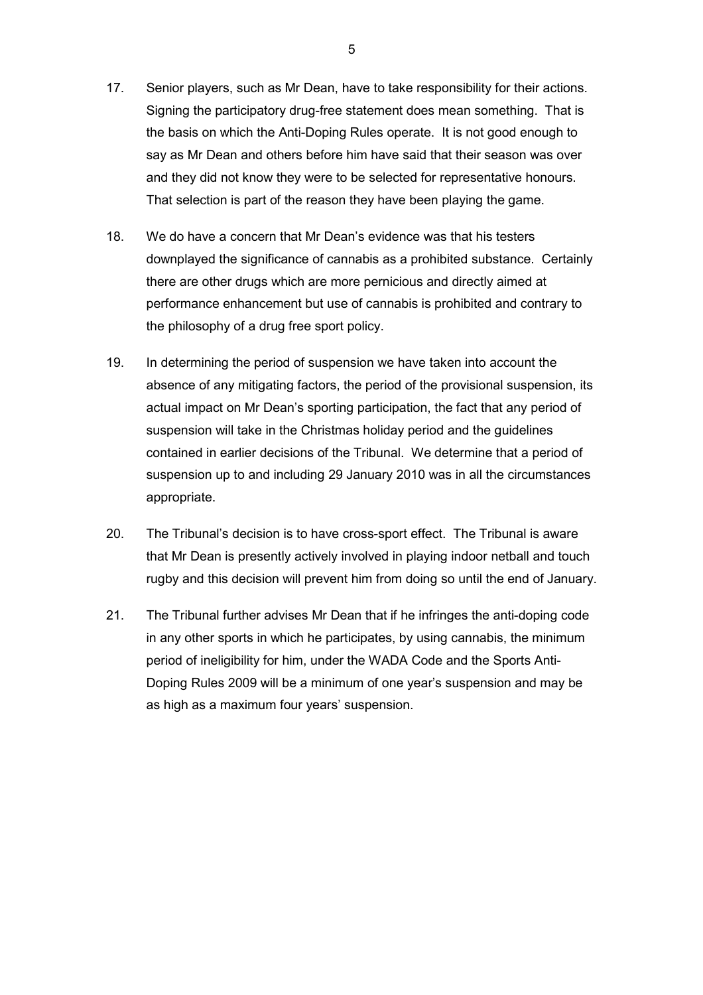- 17. Senior players, such as Mr Dean, have to take responsibility for their actions. Signing the participatory drug-free statement does mean something. That is the basis on which the Anti-Doping Rules operate. It is not good enough to say as Mr Dean and others before him have said that their season was over and they did not know they were to be selected for representative honours. That selection is part of the reason they have been playing the game.
- 18. We do have a concern that Mr Dean's evidence was that his testers downplayed the significance of cannabis as a prohibited substance. Certainly there are other drugs which are more pernicious and directly aimed at performance enhancement but use of cannabis is prohibited and contrary to the philosophy of a drug free sport policy.
- 19. In determining the period of suspension we have taken into account the absence of any mitigating factors, the period of the provisional suspension, its actual impact on Mr Dean's sporting participation, the fact that any period of suspension will take in the Christmas holiday period and the guidelines contained in earlier decisions of the Tribunal. We determine that a period of suspension up to and including 29 January 2010 was in all the circumstances appropriate.
- 20. The Tribunal's decision is to have cross-sport effect. The Tribunal is aware that Mr Dean is presently actively involved in playing indoor netball and touch rugby and this decision will prevent him from doing so until the end of January.
- 21. The Tribunal further advises Mr Dean that if he infringes the anti-doping code in any other sports in which he participates, by using cannabis, the minimum period of ineligibility for him, under the WADA Code and the Sports Anti-Doping Rules 2009 will be a minimum of one year's suspension and may be as high as a maximum four years' suspension.